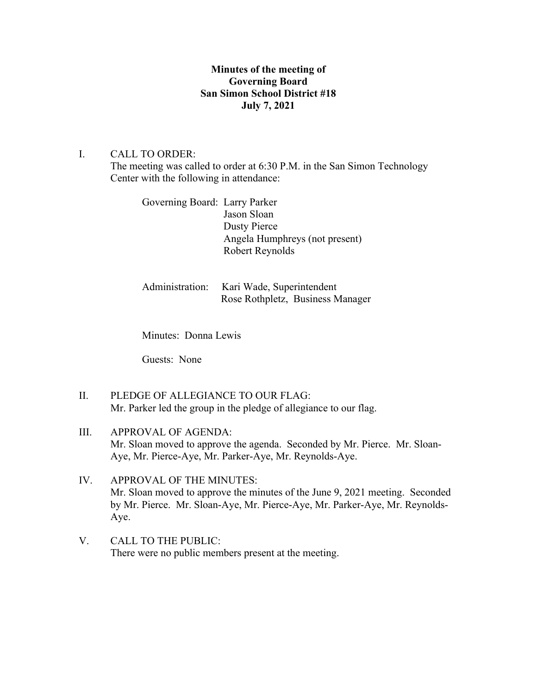# **Minutes of the meeting of Governing Board San Simon School District #18 July 7, 2021**

### I. CALL TO ORDER:

The meeting was called to order at 6:30 P.M. in the San Simon Technology Center with the following in attendance:

Governing Board: Larry Parker Jason Sloan Dusty Pierce Angela Humphreys (not present) Robert Reynolds

Administration: Kari Wade, Superintendent Rose Rothpletz, Business Manager

Minutes: Donna Lewis

Guests: None

- II. PLEDGE OF ALLEGIANCE TO OUR FLAG: Mr. Parker led the group in the pledge of allegiance to our flag.
- III. APPROVAL OF AGENDA: Mr. Sloan moved to approve the agenda. Seconded by Mr. Pierce. Mr. Sloan-Aye, Mr. Pierce-Aye, Mr. Parker-Aye, Mr. Reynolds-Aye.
- IV. APPROVAL OF THE MINUTES: Mr. Sloan moved to approve the minutes of the June 9, 2021 meeting. Seconded by Mr. Pierce. Mr. Sloan-Aye, Mr. Pierce-Aye, Mr. Parker-Aye, Mr. Reynolds-Aye.
- V. CALL TO THE PUBLIC: There were no public members present at the meeting.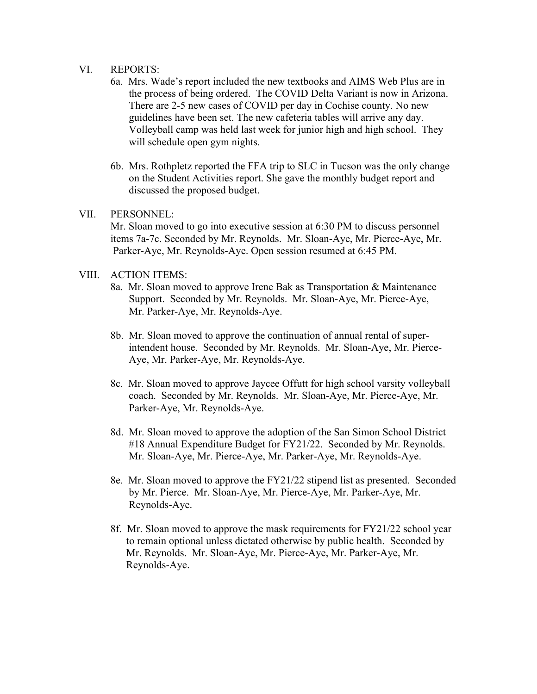#### VI. REPORTS:

- 6a. Mrs. Wade's report included the new textbooks and AIMS Web Plus are in the process of being ordered. The COVID Delta Variant is now in Arizona. There are 2-5 new cases of COVID per day in Cochise county. No new guidelines have been set. The new cafeteria tables will arrive any day. Volleyball camp was held last week for junior high and high school. They will schedule open gym nights.
- 6b. Mrs. Rothpletz reported the FFA trip to SLC in Tucson was the only change on the Student Activities report. She gave the monthly budget report and discussed the proposed budget.

## VII. PERSONNEL:

Mr. Sloan moved to go into executive session at 6:30 PM to discuss personnel items 7a-7c. Seconded by Mr. Reynolds. Mr. Sloan-Aye, Mr. Pierce-Aye, Mr. Parker-Aye, Mr. Reynolds-Aye. Open session resumed at 6:45 PM.

### VIII. ACTION ITEMS:

- 8a. Mr. Sloan moved to approve Irene Bak as Transportation & Maintenance Support. Seconded by Mr. Reynolds. Mr. Sloan-Aye, Mr. Pierce-Aye, Mr. Parker-Aye, Mr. Reynolds-Aye.
- 8b. Mr. Sloan moved to approve the continuation of annual rental of super intendent house. Seconded by Mr. Reynolds. Mr. Sloan-Aye, Mr. Pierce- Aye, Mr. Parker-Aye, Mr. Reynolds-Aye.
- 8c. Mr. Sloan moved to approve Jaycee Offutt for high school varsity volleyball coach. Seconded by Mr. Reynolds. Mr. Sloan-Aye, Mr. Pierce-Aye, Mr. Parker-Aye, Mr. Reynolds-Aye.
- 8d. Mr. Sloan moved to approve the adoption of the San Simon School District #18 Annual Expenditure Budget for FY21/22. Seconded by Mr. Reynolds. Mr. Sloan-Aye, Mr. Pierce-Aye, Mr. Parker-Aye, Mr. Reynolds-Aye.
- 8e. Mr. Sloan moved to approve the FY21/22 stipend list as presented. Seconded by Mr. Pierce. Mr. Sloan-Aye, Mr. Pierce-Aye, Mr. Parker-Aye, Mr. Reynolds-Aye.
- 8f. Mr. Sloan moved to approve the mask requirements for FY21/22 school year to remain optional unless dictated otherwise by public health. Seconded by Mr. Reynolds. Mr. Sloan-Aye, Mr. Pierce-Aye, Mr. Parker-Aye, Mr. Reynolds-Aye.